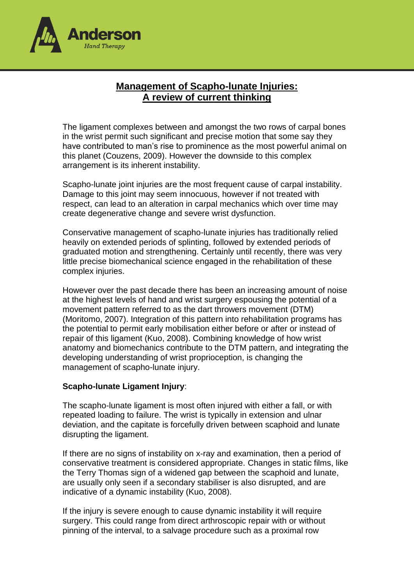

# **Management of Scapho-lunate Injuries: A review of current thinking**

The ligament complexes between and amongst the two rows of carpal bones in the wrist permit such significant and precise motion that some say they have contributed to man's rise to prominence as the most powerful animal on this planet (Couzens, 2009). However the downside to this complex arrangement is its inherent instability.

Scapho-lunate joint injuries are the most frequent cause of carpal instability. Damage to this joint may seem innocuous, however if not treated with respect, can lead to an alteration in carpal mechanics which over time may create degenerative change and severe wrist dysfunction.

Conservative management of scapho-lunate injuries has traditionally relied heavily on extended periods of splinting, followed by extended periods of graduated motion and strengthening. Certainly until recently, there was very little precise biomechanical science engaged in the rehabilitation of these complex injuries.

However over the past decade there has been an increasing amount of noise at the highest levels of hand and wrist surgery espousing the potential of a movement pattern referred to as the dart throwers movement (DTM) (Moritomo, 2007). Integration of this pattern into rehabilitation programs has the potential to permit early mobilisation either before or after or instead of repair of this ligament (Kuo, 2008). Combining knowledge of how wrist anatomy and biomechanics contribute to the DTM pattern, and integrating the developing understanding of wrist proprioception, is changing the management of scapho-lunate injury.

### **Scapho-lunate Ligament Injury**:

The scapho-lunate ligament is most often injured with either a fall, or with repeated loading to failure. The wrist is typically in extension and ulnar deviation, and the capitate is forcefully driven between scaphoid and lunate disrupting the ligament.

If there are no signs of instability on x-ray and examination, then a period of conservative treatment is considered appropriate. Changes in static films, like the Terry Thomas sign of a widened gap between the scaphoid and lunate, are usually only seen if a secondary stabiliser is also disrupted, and are indicative of a dynamic instability (Kuo, 2008).

If the injury is severe enough to cause dynamic instability it will require surgery. This could range from direct arthroscopic repair with or without pinning of the interval, to a salvage procedure such as a proximal row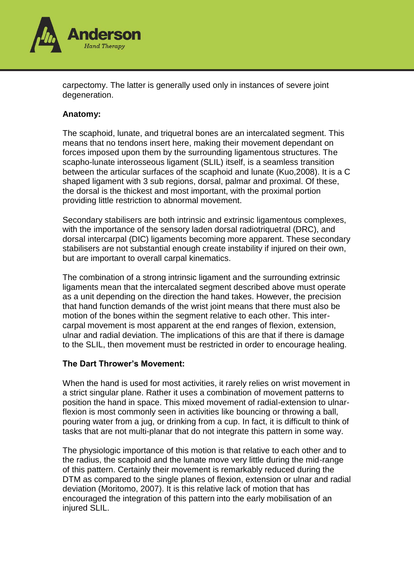

carpectomy. The latter is generally used only in instances of severe joint degeneration.

### **Anatomy:**

The scaphoid, lunate, and triquetral bones are an intercalated segment. This means that no tendons insert here, making their movement dependant on forces imposed upon them by the surrounding ligamentous structures. The scapho-lunate interosseous ligament (SLIL) itself, is a seamless transition between the articular surfaces of the scaphoid and lunate (Kuo,2008). It is a C shaped ligament with 3 sub regions, dorsal, palmar and proximal. Of these, the dorsal is the thickest and most important, with the proximal portion providing little restriction to abnormal movement.

Secondary stabilisers are both intrinsic and extrinsic ligamentous complexes, with the importance of the sensory laden dorsal radiotriquetral (DRC), and dorsal intercarpal (DIC) ligaments becoming more apparent. These secondary stabilisers are not substantial enough create instability if injured on their own, but are important to overall carpal kinematics.

The combination of a strong intrinsic ligament and the surrounding extrinsic ligaments mean that the intercalated segment described above must operate as a unit depending on the direction the hand takes. However, the precision that hand function demands of the wrist joint means that there must also be motion of the bones within the segment relative to each other. This intercarpal movement is most apparent at the end ranges of flexion, extension, ulnar and radial deviation. The implications of this are that if there is damage to the SLIL, then movement must be restricted in order to encourage healing.

### **The Dart Thrower's Movement:**

When the hand is used for most activities, it rarely relies on wrist movement in a strict singular plane. Rather it uses a combination of movement patterns to position the hand in space. This mixed movement of radial-extension to ulnarflexion is most commonly seen in activities like bouncing or throwing a ball, pouring water from a jug, or drinking from a cup. In fact, it is difficult to think of tasks that are not multi-planar that do not integrate this pattern in some way.

The physiologic importance of this motion is that relative to each other and to the radius, the scaphoid and the lunate move very little during the mid-range of this pattern. Certainly their movement is remarkably reduced during the DTM as compared to the single planes of flexion, extension or ulnar and radial deviation (Moritomo, 2007). It is this relative lack of motion that has encouraged the integration of this pattern into the early mobilisation of an injured SLIL.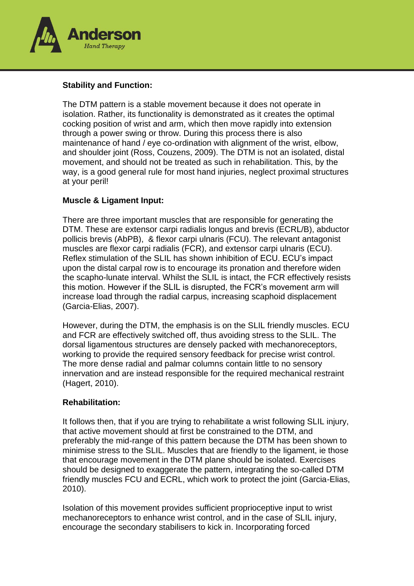

## **Stability and Function:**

The DTM pattern is a stable movement because it does not operate in isolation. Rather, its functionality is demonstrated as it creates the optimal cocking position of wrist and arm, which then move rapidly into extension through a power swing or throw. During this process there is also maintenance of hand / eye co-ordination with alignment of the wrist, elbow, and shoulder joint (Ross, Couzens, 2009). The DTM is not an isolated, distal movement, and should not be treated as such in rehabilitation. This, by the way, is a good general rule for most hand injuries, neglect proximal structures at your peril!

### **Muscle & Ligament Input:**

There are three important muscles that are responsible for generating the DTM. These are extensor carpi radialis longus and brevis (ECRL/B), abductor pollicis brevis (AbPB), & flexor carpi ulnaris (FCU). The relevant antagonist muscles are flexor carpi radialis (FCR), and extensor carpi ulnaris (ECU). Reflex stimulation of the SLIL has shown inhibition of ECU. ECU's impact upon the distal carpal row is to encourage its pronation and therefore widen the scapho-lunate interval. Whilst the SLIL is intact, the FCR effectively resists this motion. However if the SLIL is disrupted, the FCR's movement arm will increase load through the radial carpus, increasing scaphoid displacement (Garcia-Elias, 2007).

However, during the DTM, the emphasis is on the SLIL friendly muscles. ECU and FCR are effectively switched off, thus avoiding stress to the SLIL. The dorsal ligamentous structures are densely packed with mechanoreceptors, working to provide the required sensory feedback for precise wrist control. The more dense radial and palmar columns contain little to no sensory innervation and are instead responsible for the required mechanical restraint (Hagert, 2010).

### **Rehabilitation:**

It follows then, that if you are trying to rehabilitate a wrist following SLIL injury, that active movement should at first be constrained to the DTM, and preferably the mid-range of this pattern because the DTM has been shown to minimise stress to the SLIL. Muscles that are friendly to the ligament, ie those that encourage movement in the DTM plane should be isolated. Exercises should be designed to exaggerate the pattern, integrating the so-called DTM friendly muscles FCU and ECRL, which work to protect the joint (Garcia-Elias, 2010).

Isolation of this movement provides sufficient proprioceptive input to wrist mechanoreceptors to enhance wrist control, and in the case of SLIL injury, encourage the secondary stabilisers to kick in. Incorporating forced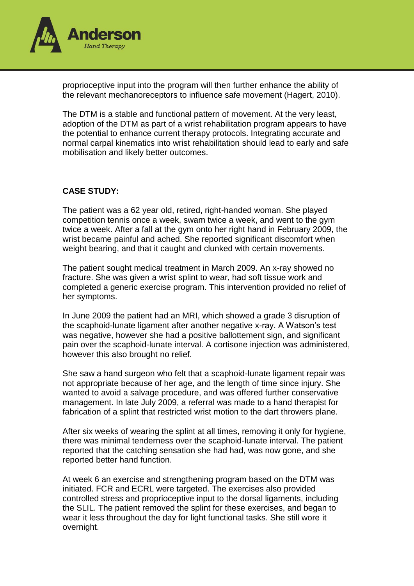

proprioceptive input into the program will then further enhance the ability of the relevant mechanoreceptors to influence safe movement (Hagert, 2010).

The DTM is a stable and functional pattern of movement. At the very least, adoption of the DTM as part of a wrist rehabilitation program appears to have the potential to enhance current therapy protocols. Integrating accurate and normal carpal kinematics into wrist rehabilitation should lead to early and safe mobilisation and likely better outcomes.

## **CASE STUDY:**

The patient was a 62 year old, retired, right-handed woman. She played competition tennis once a week, swam twice a week, and went to the gym twice a week. After a fall at the gym onto her right hand in February 2009, the wrist became painful and ached. She reported significant discomfort when weight bearing, and that it caught and clunked with certain movements.

The patient sought medical treatment in March 2009. An x-ray showed no fracture. She was given a wrist splint to wear, had soft tissue work and completed a generic exercise program. This intervention provided no relief of her symptoms.

In June 2009 the patient had an MRI, which showed a grade 3 disruption of the scaphoid-lunate ligament after another negative x-ray. A Watson's test was negative, however she had a positive ballottement sign, and significant pain over the scaphoid-lunate interval. A cortisone injection was administered, however this also brought no relief.

She saw a hand surgeon who felt that a scaphoid-lunate ligament repair was not appropriate because of her age, and the length of time since injury. She wanted to avoid a salvage procedure, and was offered further conservative management. In late July 2009, a referral was made to a hand therapist for fabrication of a splint that restricted wrist motion to the dart throwers plane.

After six weeks of wearing the splint at all times, removing it only for hygiene, there was minimal tenderness over the scaphoid-lunate interval. The patient reported that the catching sensation she had had, was now gone, and she reported better hand function.

At week 6 an exercise and strengthening program based on the DTM was initiated. FCR and ECRL were targeted. The exercises also provided controlled stress and proprioceptive input to the dorsal ligaments, including the SLIL. The patient removed the splint for these exercises, and began to wear it less throughout the day for light functional tasks. She still wore it overnight.